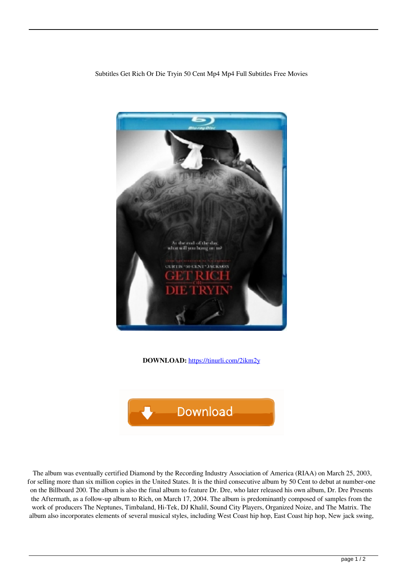Subtitles Get Rich Or Die Tryin 50 Cent Mp4 Mp4 Full Subtitles Free Movies



**DOWNLOAD:** <https://tinurli.com/2ikm2y>



 The album was eventually certified Diamond by the Recording Industry Association of America (RIAA) on March 25, 2003, for selling more than six million copies in the United States. It is the third consecutive album by 50 Cent to debut at number-one on the Billboard 200. The album is also the final album to feature Dr. Dre, who later released his own album, Dr. Dre Presents the Aftermath, as a follow-up album to Rich, on March 17, 2004. The album is predominantly composed of samples from the work of producers The Neptunes, Timbaland, Hi-Tek, DJ Khalil, Sound City Players, Organized Noize, and The Matrix. The album also incorporates elements of several musical styles, including West Coast hip hop, East Coast hip hop, New jack swing,